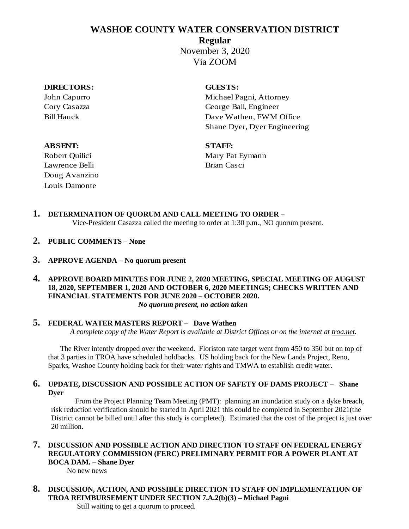# **WASHOE COUNTY WATER CONSERVATION DISTRICT**

**Regular**

November 3, 2020 Via ZOOM

### **DIRECTORS: GUESTS:**

John Capurro Michael Pagni, Attorney Cory Casazza George Ball, Engineer Bill Hauck Dave Wathen, FWM Office Shane Dyer, Dyer Engineering

## **ABSENT: STAFF:**

Lawrence Belli Brian Casci Doug Avanzino Louis Damonte

Robert Quilici Mary Pat Eymann

- **1. DETERMINATION OF QUORUM AND CALL MEETING TO ORDER –** Vice-President Casazza called the meeting to order at 1:30 p.m., NO quorum present.
- **2. PUBLIC COMMENTS – None**
- **3. APPROVE AGENDA – No quorum present**
- **4. APPROVE BOARD MINUTES FOR JUNE 2, 2020 MEETING, SPECIAL MEETING OF AUGUST 18, 2020, SEPTEMBER 1, 2020 AND OCTOBER 6, 2020 MEETINGS; CHECKS WRITTEN AND FINANCIAL STATEMENTS FOR JUNE 2020 – OCTOBER 2020.** *No quorum present, no action taken*

## **5. FEDERAL WATER MASTERS REPORT – Dave Wathen**

*A complete copy of the Water Report is available at District Offices or on the internet at troa.net.*

The River intently dropped over the weekend. Floriston rate target went from 450 to 350 but on top of that 3 parties in TROA have scheduled holdbacks. US holding back for the New Lands Project, Reno, Sparks, Washoe County holding back for their water rights and TMWA to establish credit water.

## **6. UPDATE, DISCUSSION AND POSSIBLE ACTION OF SAFETY OF DAMS PROJECT – Shane Dyer**

From the Project Planning Team Meeting (PMT): planning an inundation study on a dyke breach, risk reduction verification should be started in April 2021 this could be completed in September 2021(the District cannot be billed until after this study is completed). Estimated that the cost of the project is just over 20 million.

## **7. DISCUSSION AND POSSIBLE ACTION AND DIRECTION TO STAFF ON FEDERAL ENERGY REGULATORY COMMISSION (FERC) PRELIMINARY PERMIT FOR A POWER PLANT AT BOCA DAM. – Shane Dyer**

No new news

**8. DISCUSSION, ACTION, AND POSSIBLE DIRECTION TO STAFF ON IMPLEMENTATION OF TROA REIMBURSEMENT UNDER SECTION 7.A.2(b)(3) – Michael Pagni** Still waiting to get a quorum to proceed.